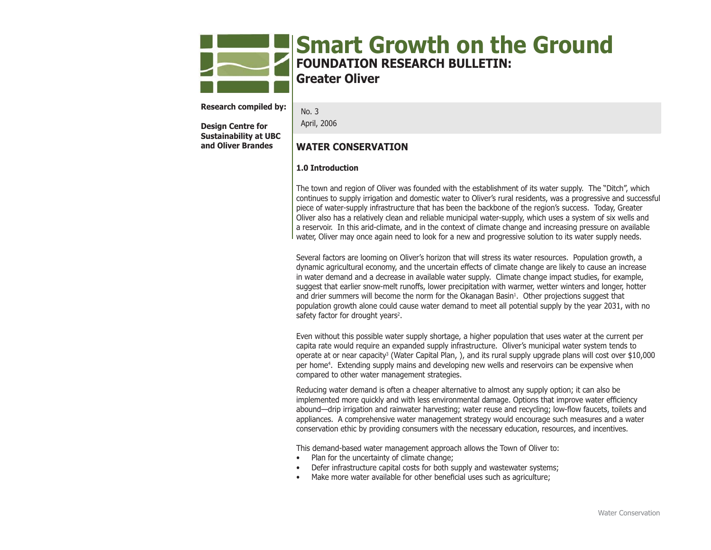

# **Smart Growth on the Ground FOUNDATION RESEARCH BULLETIN: Greater Oliver**

**Research compiled by:** 

**Design Centre for Sustainability at UBC and Oliver Brandes**

No. 3April, 2006

## **WATER CONSERVATION**

## **1.0 Introduction**

The town and region of Oliver was founded with the establishment of its water supply. The "Ditch", which continues to supply irrigation and domestic water to Oliver's rural residents, was a progressive and successful piece of water-supply infrastructure that has been the backbone of the region's success. Today, Greater Oliver also has a relatively clean and reliable municipal water-supply, which uses a system of six wells and a reservoir. In this arid-climate, and in the context of climate change and increasing pressure on available water, Oliver may once again need to look for a new and progressive solution to its water supply needs.

Several factors are looming on Oliver's horizon that will stress its water resources. Population growth, a dynamic agricultural economy, and the uncertain effects of climate change are likely to cause an increase in water demand and a decrease in available water supply. Climate change impact studies, for example, suggest that earlier snow-melt runoffs, lower precipitation with warmer, wetter winters and longer, hotter and drier summers will become the norm for the Okanagan Basin<sup>1</sup>. Other projections suggest that population growth alone could cause water demand to meet all potential supply by the year 2031, with no safety factor for drought years<sup>2</sup>.

Even without this possible water supply shortage, a higher population that uses water at the current per capita rate would require an expanded supply infrastructure. Oliver's municipal water system tends to operate at or near capacity<sup>3</sup> (Water Capital Plan, ), and its rural supply upgrade plans will cost over \$10,000 per home4. Extending supply mains and developing new wells and reservoirs can be expensive when compared to other water management strategies.

Reducing water demand is often a cheaper alternative to almost any supply option; it can also be implemented more quickly and with less environmental damage. Options that improve water efficiency abound—drip irrigation and rainwater harvesting; water reuse and recycling; low-flow faucets, toilets and appliances. A comprehensive water management strategy would encourage such measures and a water conservation ethic by providing consumers with the necessary education, resources, and incentives.

This demand-based water management approach allows the Town of Oliver to:

- Plan for the uncertainty of climate change;
- Defer infrastructure capital costs for both supply and wastewater systems;
- Make more water available for other beneficial uses such as agriculture;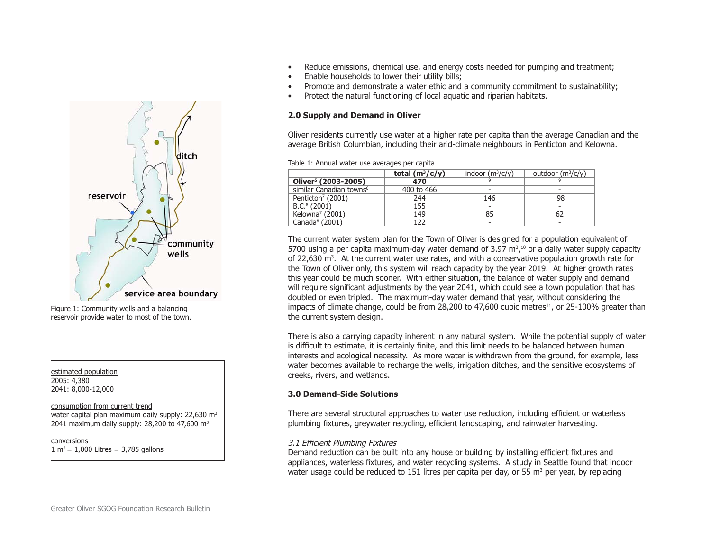

Figure 1: Community wells and a balancing reservoir provide water to most of the town.

estimated population 2005: 4,380 2041: 8,000-12,000

### consumption from current trend

water capital plan maximum daily supply:  $22,630$  m<sup>3</sup> 2041 maximum daily supply: 28,200 to 47,600  $m<sup>3</sup>$ 

conversions $1 m<sup>3</sup> = 1,000$  Litres = 3,785 gallons

- Reduce emissions, chemical use, and energy costs needed for pumping and treatment;
- Enable households to lower their utility bills;
- Promote and demonstrate a water ethic and a community commitment to sustainability;
- Protect the natural functioning of local aquatic and riparian habitats.

## **2.0 Supply and Demand in Oliver**

Oliver residents currently use water at a higher rate per capita than the average Canadian and the average British Columbian, including their arid-climate neighbours in Penticton and Kelowna.

Table 1: Annual water use averages per capita

|                                     | total $(m^3/c/y)$ | indoor $(m^3/c/v)$ | outdoor $(m^3/c/v)$ |
|-------------------------------------|-------------------|--------------------|---------------------|
| Oliver <sup>5</sup> (2003-2005)     | 470               |                    |                     |
| similar Canadian towns <sup>6</sup> | 400 to 466        |                    |                     |
| Penticton <sup>7</sup> (2001)       | 244               | 146                | 98                  |
| $B.C.8$ (2001)                      | 155               |                    |                     |
| Kelowna <sup>7</sup> (2001)         | 149               | 85                 | 62                  |
| Canada $8(2001)$                    | 1つつ               |                    |                     |

The current water system plan for the Town of Oliver is designed for a population equivalent of 5700 using a per capita maximum-day water demand of  $3.97 \text{ m}^3$ ,<sup>10</sup> or a daily water supply capacity of 22,630 m<sup>3</sup>. At the current water use rates, and with a conservative population growth rate for the Town of Oliver only, this system will reach capacity by the year 2019. At higher growth rates this year could be much sooner. With either situation, the balance of water supply and demand will require significant adjustments by the year 2041, which could see a town population that has doubled or even tripled. The maximum-day water demand that year, without considering the impacts of climate change, could be from 28,200 to  $47,600$  cubic metres<sup>11</sup>, or 25-100% greater than the current system design.

There is also a carrying capacity inherent in any natural system. While the potential supply of water is difficult to estimate, it is certainly finite, and this limit needs to be balanced between human interests and ecological necessity. As more water is withdrawn from the ground, for example, less water becomes available to recharge the wells, irrigation ditches, and the sensitive ecosystems of creeks, rivers, and wetlands.

## **3.0 Demand-Side Solutions**

There are several structural approaches to water use reduction, including efficient or waterless plumbing fixtures, greywater recycling, efficient landscaping, and rainwater harvesting.

## 3.1 Efficient Plumbing Fixtures

Demand reduction can be built into any house or building by installing efficient fixtures and appliances, waterless fixtures, and water recycling systems. A study in Seattle found that indoor water usage could be reduced to 151 litres per capita per day, or 55  $m<sup>3</sup>$  per year, by replacing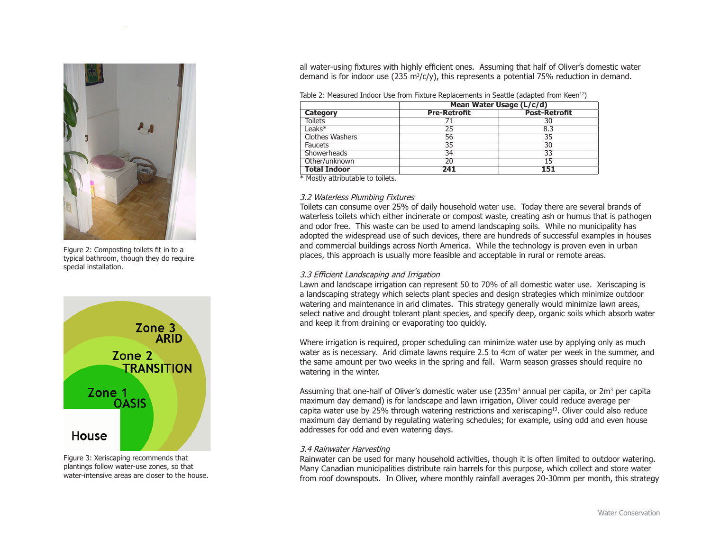

Figure 2: Composting toilets fit in to a typical bathroom, though they do require special installation.



Figure 3: Xeriscaping recommends that plantings follow water-use zones, so that water-intensive areas are closer to the house. all water-using fixtures with highly efficient ones. Assuming that half of Oliver's domestic water demand is for indoor use (235 m<sup>3</sup>/c/y), this represents a potential 75% reduction in demand.

Table 2: Measured Indoor Use from Fixture Replacements in Seattle (adapted from Keen<sup>12</sup>)

|                        | Mean Water Usage (L/c/d) |                      |  |
|------------------------|--------------------------|----------------------|--|
| <b>Category</b>        | <b>Pre-Retrofit</b>      | <b>Post-Retrofit</b> |  |
| <b>Toilets</b>         |                          | 30                   |  |
| $leaks*$               |                          | 8.3                  |  |
| <b>Clothes Washers</b> | 56                       | 35                   |  |
| <b>Faucets</b>         | 35                       | 30                   |  |
| <b>Showerheads</b>     | 34                       | 33                   |  |
| Other/unknown          |                          | 15                   |  |
| <b>Total Indoor</b>    | <b>241</b>               | 151                  |  |

\* Mostly attributable to toilets.

## 3.2 Waterless Plumbing Fixtures

Toilets can consume over 25% of daily household water use. Today there are several brands of waterless toilets which either incinerate or compost waste, creating ash or humus that is pathogen and odor free. This waste can be used to amend landscaping soils. While no municipality has adopted the widespread use of such devices, there are hundreds of successful examples in houses and commercial buildings across North America. While the technology is proven even in urban places, this approach is usually more feasible and acceptable in rural or remote areas.

## 3.3 Efficient Landscaping and Irrigation

Lawn and landscape irrigation can represent 50 to 70% of all domestic water use. Xeriscaping is a landscaping strategy which selects plant species and design strategies which minimize outdoor watering and maintenance in arid climates. This strategy generally would minimize lawn areas, select native and drought tolerant plant species, and specify deep, organic soils which absorb water and keep it from draining or evaporating too quickly.

Where irrigation is required, proper scheduling can minimize water use by applying only as much water as is necessary. Arid climate lawns require 2.5 to 4cm of water per week in the summer, and the same amount per two weeks in the spring and fall. Warm season grasses should require no watering in the winter.

Assuming that one-half of Oliver's domestic water use  $(235m<sup>3</sup>$  annual per capita, or  $2m<sup>3</sup>$  per capita maximum day demand) is for landscape and lawn irrigation, Oliver could reduce average per capita water use by 25% through watering restrictions and xeriscaping13. Oliver could also reduce maximum day demand by regulating watering schedules; for example, using odd and even house addresses for odd and even watering days.

## 3.4 Rainwater Harvesting

Rainwater can be used for many household activities, though it is often limited to outdoor watering. Many Canadian municipalities distribute rain barrels for this purpose, which collect and store water from roof downspouts. In Oliver, where monthly rainfall averages 20-30mm per month, this strategy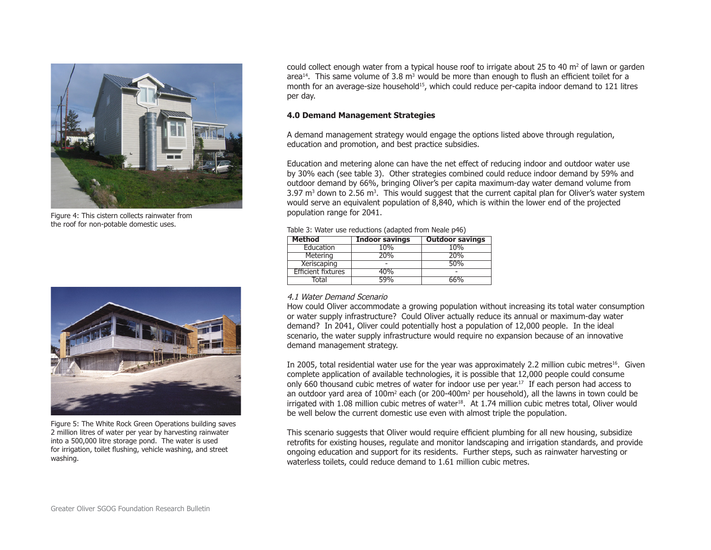

Figure 4: This cistern collects rainwater from the roof for non-potable domestic uses.



Figure 5: The White Rock Green Operations building saves 2 million litres of water per year by harvesting rainwater into a 500,000 litre storage pond. The water is used for irrigation, toilet flushing, vehicle washing, and street washing.

could collect enough water from a typical house roof to irrigate about 25 to 40  $m<sup>2</sup>$  of lawn or garden area<sup>14</sup>. This same volume of 3.8 m<sup>3</sup> would be more than enough to flush an efficient toilet for a month for an average-size household<sup>15</sup>, which could reduce per-capita indoor demand to 121 litres per day.

## **4.0 Demand Management Strategies**

A demand management strategy would engage the options listed above through regulation, education and promotion, and best practice subsidies.

Education and metering alone can have the net effect of reducing indoor and outdoor water use by 30% each (see table 3). Other strategies combined could reduce indoor demand by 59% and outdoor demand by 66%, bringing Oliver's per capita maximum-day water demand volume from 3.97 m<sup>3</sup> down to 2.56 m<sup>3</sup>. This would suggest that the current capital plan for Oliver's water system would serve an equivalent population of 8,840, which is within the lower end of the projected population range for 2041.

| <b>Method</b>             | <b>Indoor savings</b> | <b>Outdoor savings</b> |
|---------------------------|-----------------------|------------------------|
| Education                 | 10%                   | 10%                    |
| Metering                  | 20%                   | 20%                    |
| Xeriscaping               |                       | 50%                    |
| <b>Efficient fixtures</b> | 40%                   |                        |
| Total                     | 59%                   | 66%                    |

Table 3: Water use reductions (adapted from Neale p46)

## 4.1 Water Demand Scenario

How could Oliver accommodate a growing population without increasing its total water consumption or water supply infrastructure? Could Oliver actually reduce its annual or maximum-day water demand? In 2041, Oliver could potentially host a population of 12,000 people. In the ideal scenario, the water supply infrastructure would require no expansion because of an innovative demand management strategy.

In 2005, total residential water use for the year was approximately 2.2 million cubic metres<sup>16</sup>. Given complete application of available technologies, it is possible that 12,000 people could consume only 660 thousand cubic metres of water for indoor use per year.<sup>17</sup> If each person had access to an outdoor yard area of 100m<sup>2</sup> each (or 200-400m<sup>2</sup> per household), all the lawns in town could be irrigated with 1.08 million cubic metres of water<sup>18</sup>. At 1.74 million cubic metres total, Oliver would be well below the current domestic use even with almost triple the population.

This scenario suggests that Oliver would require efficient plumbing for all new housing, subsidize retrofits for existing houses, regulate and monitor landscaping and irrigation standards, and provide ongoing education and support for its residents. Further steps, such as rainwater harvesting or waterless toilets, could reduce demand to 1.61 million cubic metres.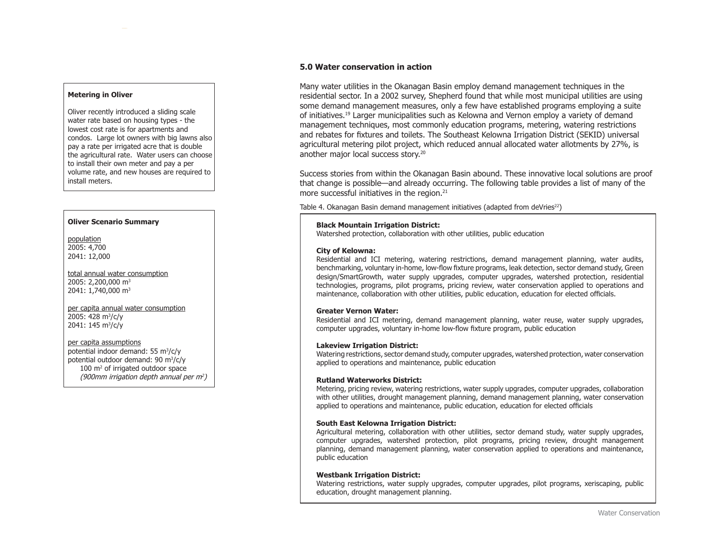#### **Metering in Oliver**

Oliver recently introduced a sliding scale water rate based on housing types - the lowest cost rate is for apartments and condos. Large lot owners with big lawns also pay a rate per irrigated acre that is double the agricultural rate. Water users can choose to install their own meter and pay a per volume rate, and new houses are required to install meters.

#### **Oliver Scenario Summary**

population 2005: 4,700 2041: 12,000

total annual water consumption 2005: 2,200,000 m<sup>3</sup> 2041: 1,740,000 m<sup>3</sup>

per capita annual water consumption 2005: 428 m3/c/y 2041: 145 m3/c/y

#### per capita assumptions

potential indoor demand: 55 m3/c/y potential outdoor demand: 90 m3/c/y 100 m<sup>2</sup> of irrigated outdoor space (900mm irrigation depth annual per  $m^2$ )

## **5.0 Water conservation in action**

Many water utilities in the Okanagan Basin employ demand management techniques in the residential sector. In a 2002 survey, Shepherd found that while most municipal utilities are using some demand management measures, only a few have established programs employing a suite of initiatives.19 Larger municipalities such as Kelowna and Vernon employ a variety of demand management techniques, most commonly education programs, metering, watering restrictions and rebates for fixtures and toilets. The Southeast Kelowna Irrigation District (SEKID) universal agricultural metering pilot project, which reduced annual allocated water allotments by 27%, is another major local success story.<sup>20</sup>

Success stories from within the Okanagan Basin abound. These innovative local solutions are proof that change is possible—and already occurring. The following table provides a list of many of the more successful initiatives in the region.<sup>21</sup>

Table 4. Okanagan Basin demand management initiatives (adapted from deVries<sup>22</sup>)

### **Black Mountain Irrigation District:**

Watershed protection, collaboration with other utilities, public education

#### **City of Kelowna:**

Residential and ICI metering, watering restrictions, demand management planning, water audits, benchmarking, voluntary in-home, low-flow fixture programs, leak detection, sector demand study, Green design/SmartGrowth, water supply upgrades, computer upgrades, watershed protection, residential technologies, programs, pilot programs, pricing review, water conservation applied to operations and maintenance, collaboration with other utilities, public education, education for elected officials.

#### **Greater Vernon Water:**

Residential and ICI metering, demand management planning, water reuse, water supply upgrades, computer upgrades, voluntary in-home low-flow fixture program, public education

#### **Lakeview Irrigation District:**

Watering restrictions, sector demand study, computer upgrades, watershed protection, water conservation applied to operations and maintenance, public education

#### **Rutland Waterworks District:**

Metering, pricing review, watering restrictions, water supply upgrades, computer upgrades, collaboration with other utilities, drought management planning, demand management planning, water conservation applied to operations and maintenance, public education, education for elected officials

### **South East Kelowna Irrigation District:**

Agricultural metering, collaboration with other utilities, sector demand study, water supply upgrades, computer upgrades, watershed protection, pilot programs, pricing review, drought management planning, demand management planning, water conservation applied to operations and maintenance, public education

#### **Westbank Irrigation District:**

Watering restrictions, water supply upgrades, computer upgrades, pilot programs, xeriscaping, public education, drought management planning.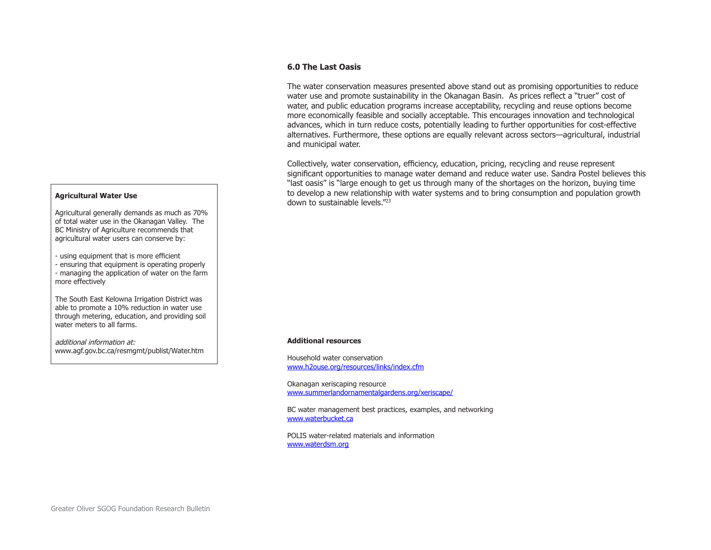## **6.0 The Last Oasis**

The water conservation measures presented above stand out as promising opportunities to reduce water use and promote sustainability in the Okanagan Basin. As prices reflect a "truer" cost of water, and public education programs increase acceptability, recycling and reuse options become more economically feasible and socially acceptable. This encourages innovation and technological advances, which in turn reduce costs, potentially leading to further opportunities for cost-effective alternatives. Furthermore, these options are equally relevant across sectors—agricultural, industrial and municipal water.

Collectively, water conservation, efficiency, education, pricing, recycling and reuse represent significant opportunities to manage water demand and reduce water use. Sandra Postel believes this "last oasis" is "large enough to get us through many of the shortages on the horizon, buying time to develop a new relationship with water systems and to bring consumption and population growth down to sustainable levels."23

## **Agricultural Water Use**

Agricultural generally demands as much as 70% of total water use in the Okanagan Valley. The BC Ministry of Agriculture recommends that agricultural water users can conserve by:

- using equipment that is more efficient

- ensuring that equipment is operating properly - managing the application of water on the farm more effectively

The South East Kelowna Irrigation District was able to promote a 10% reduction in water use through metering, education, and providing soil water meters to all farms.

additional information at:www.agf.gov.bc.ca/resmgmt/publist/Water.htm

#### **Additional resources**

Household water conservation www.h2ouse.org/resources/links/index.cfm

Okanagan xeriscaping resource www.summerlandornamentalgardens.org/xeriscape/

BC water management best practices, examples, and networking www.waterbucket.ca

POLIS water-related materials and informationwww.waterdsm.org